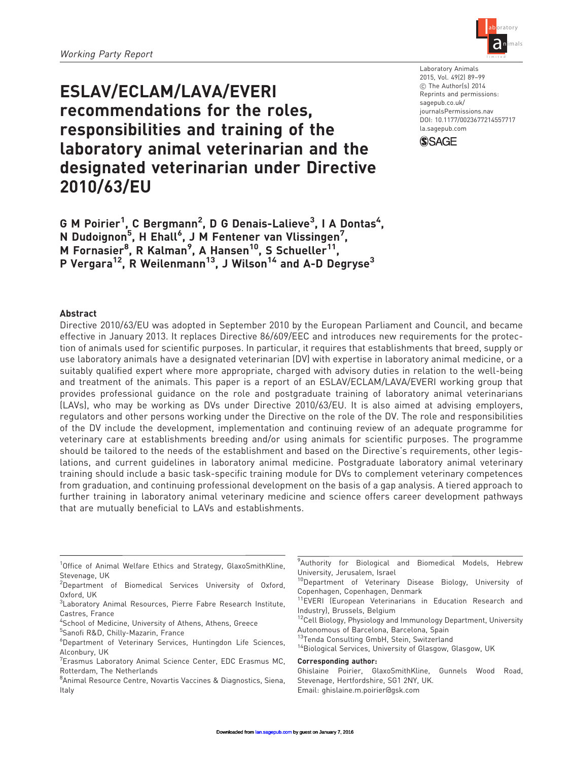

Laboratory Animals 2015, Vol. 49(2) 89–99 ! The Author(s) 2014 Reprints and permissions: sagepub.co.uk/ journalsPermissions.nav DOI: 10.1177/0023677214557717 la.sagepub.com

ab oratory

an imals

limited

l



G M Poirier $^1$ , C Bergmann $^2$ , D G Denais-Lalieve $^3$ , I A Dontas $^4$ , N Dudoignon<sup>5</sup>, H Ehall<sup>6</sup>, J M Fentener van Vlissingen<sup>7</sup>, M Fornasier<sup>8</sup>, R Kalman<sup>9</sup>, A Hansen<sup>10</sup>, S Schueller<sup>11</sup>, P Vergara<sup>12</sup>, R Weilenmann<sup>13</sup>, J Wilson<sup>14</sup> and A-D Degryse<sup>3</sup>

### Abstract

Directive 2010/63/EU was adopted in September 2010 by the European Parliament and Council, and became effective in January 2013. It replaces Directive 86/609/EEC and introduces new requirements for the protection of animals used for scientific purposes. In particular, it requires that establishments that breed, supply or use laboratory animals have a designated veterinarian (DV) with expertise in laboratory animal medicine, or a suitably qualified expert where more appropriate, charged with advisory duties in relation to the well-being and treatment of the animals. This paper is a report of an ESLAV/ECLAM/LAVA/EVERI working group that provides professional guidance on the role and postgraduate training of laboratory animal veterinarians (LAVs), who may be working as DVs under Directive 2010/63/EU. It is also aimed at advising employers, regulators and other persons working under the Directive on the role of the DV. The role and responsibilities of the DV include the development, implementation and continuing review of an adequate programme for veterinary care at establishments breeding and/or using animals for scientific purposes. The programme should be tailored to the needs of the establishment and based on the Directive's requirements, other legislations, and current guidelines in laboratory animal medicine. Postgraduate laboratory animal veterinary training should include a basic task-specific training module for DVs to complement veterinary competences from graduation, and continuing professional development on the basis of a gap analysis. A tiered approach to further training in laboratory animal veterinary medicine and science offers career development pathways that are mutually beneficial to LAVs and establishments.

- <sup>1</sup>Office of Animal Welfare Ethics and Strategy, GlaxoSmithKline, Stevenage, UK
- <sup>2</sup>Department of Biomedical Services University of Oxford, Oxford, UK
- <sup>3</sup> Laboratory Animal Resources, Pierre Fabre Research Institute, Castres, France
- 4 School of Medicine, University of Athens, Athens, Greece
- 5 Sanofi R&D, Chilly-Mazarin, France
- 6 Department of Veterinary Services, Huntingdon Life Sciences, Alconbury, UK
- <sup>7</sup> Erasmus Laboratory Animal Science Center, EDC Erasmus MC, Rotterdam, The Netherlands
- <sup>8</sup>Animal Resource Centre, Novartis Vaccines & Diagnostics, Siena, Italy
- <sup>9</sup> Authority for Biological and Biomedical Models, Hebrew University, Jerusalem, Israel
- 10Department of Veterinary Disease Biology, University of Copenhagen, Copenhagen, Denmark
- <sup>11</sup>EVERI (European Veterinarians in Education Research and Industry), Brussels, Belgium
- <sup>12</sup>Cell Biology, Physiology and Immunology Department, University Autonomous of Barcelona, Barcelona, Spain
- <sup>13</sup>Tenda Consulting GmbH, Stein, Switzerland
- <sup>14</sup>Biological Services, University of Glasgow, Glasgow, UK

#### Corresponding author:

Ghislaine Poirier, GlaxoSmithKline, Gunnels Wood Road, Stevenage, Hertfordshire, SG1 2NY, UK. Email: ghislaine.m.poirier@gsk.com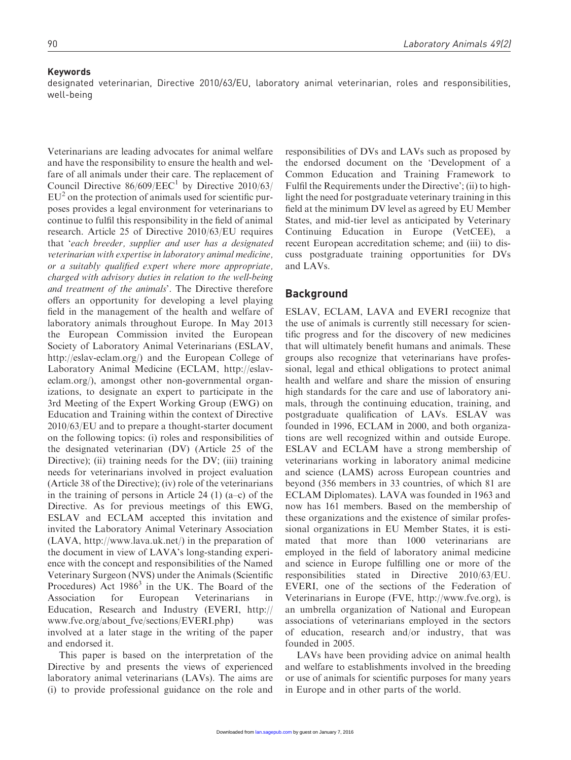#### Keywords

designated veterinarian, Directive 2010/63/EU, laboratory animal veterinarian, roles and responsibilities, well-being

Veterinarians are leading advocates for animal welfare and have the responsibility to ensure the health and welfare of all animals under their care. The replacement of Council Directive  $86/609/EEC<sup>1</sup>$  by Directive 2010/63/  $EU<sup>2</sup>$  on the protection of animals used for scientific purposes provides a legal environment for veterinarians to continue to fulfil this responsibility in the field of animal research. Article 25 of Directive 2010/63/EU requires that 'each breeder, supplier and user has a designated veterinarian with expertise in laboratory animal medicine, or a suitably qualified expert where more appropriate, charged with advisory duties in relation to the well-being and treatment of the animals'. The Directive therefore offers an opportunity for developing a level playing field in the management of the health and welfare of laboratory animals throughout Europe. In May 2013 the European Commission invited the European Society of Laboratory Animal Veterinarians (ESLAV, [http://eslav-eclam.org/\)](http://eslav-eclam.org/) and the European College of Laboratory Animal Medicine (ECLAM, [http://eslav](http://eslav-eclam.org/)[eclam.org/\)](http://eslav-eclam.org/), amongst other non-governmental organizations, to designate an expert to participate in the 3rd Meeting of the Expert Working Group (EWG) on Education and Training within the context of Directive 2010/63/EU and to prepare a thought-starter document on the following topics: (i) roles and responsibilities of the designated veterinarian (DV) (Article 25 of the Directive); (ii) training needs for the DV; (iii) training needs for veterinarians involved in project evaluation (Article 38 of the Directive); (iv) role of the veterinarians in the training of persons in Article 24 (1)  $(a-c)$  of the Directive. As for previous meetings of this EWG, ESLAV and ECLAM accepted this invitation and invited the Laboratory Animal Veterinary Association (LAVA,<http://www.lava.uk.net/>) in the preparation of the document in view of LAVA's long-standing experience with the concept and responsibilities of the Named Veterinary Surgeon (NVS) under the Animals (Scientific Procedures) Act  $1986<sup>3</sup>$  in the UK. The Board of the Association for European Veterinarians in Education, Research and Industry (EVERI, [http://](http://www.fve.org/about_fve/sections/EVERI.php) [www.fve.org/about\\_fve/sections/EVERI.php](http://www.fve.org/about_fve/sections/EVERI.php)) was involved at a later stage in the writing of the paper and endorsed it.

This paper is based on the interpretation of the Directive by and presents the views of experienced laboratory animal veterinarians (LAVs). The aims are (i) to provide professional guidance on the role and responsibilities of DVs and LAVs such as proposed by the endorsed document on the 'Development of a Common Education and Training Framework to Fulfil the Requirements under the Directive'; (ii) to highlight the need for postgraduate veterinary training in this field at the minimum DV level as agreed by EU Member States, and mid-tier level as anticipated by Veterinary Continuing Education in Europe (VetCEE), a recent European accreditation scheme; and (iii) to discuss postgraduate training opportunities for DVs and LAVs.

#### Background

ESLAV, ECLAM, LAVA and EVERI recognize that the use of animals is currently still necessary for scientific progress and for the discovery of new medicines that will ultimately benefit humans and animals. These groups also recognize that veterinarians have professional, legal and ethical obligations to protect animal health and welfare and share the mission of ensuring high standards for the care and use of laboratory animals, through the continuing education, training, and postgraduate qualification of LAVs. ESLAV was founded in 1996, ECLAM in 2000, and both organizations are well recognized within and outside Europe. ESLAV and ECLAM have a strong membership of veterinarians working in laboratory animal medicine and science (LAMS) across European countries and beyond (356 members in 33 countries, of which 81 are ECLAM Diplomates). LAVA was founded in 1963 and now has 161 members. Based on the membership of these organizations and the existence of similar professional organizations in EU Member States, it is estimated that more than 1000 veterinarians are employed in the field of laboratory animal medicine and science in Europe fulfilling one or more of the responsibilities stated in Directive 2010/63/EU. EVERI, one of the sections of the Federation of Veterinarians in Europe (FVE, [http://www.fve.org\)](http://www.fve.org), is an umbrella organization of National and European associations of veterinarians employed in the sectors of education, research and/or industry, that was founded in 2005.

LAVs have been providing advice on animal health and welfare to establishments involved in the breeding or use of animals for scientific purposes for many years in Europe and in other parts of the world.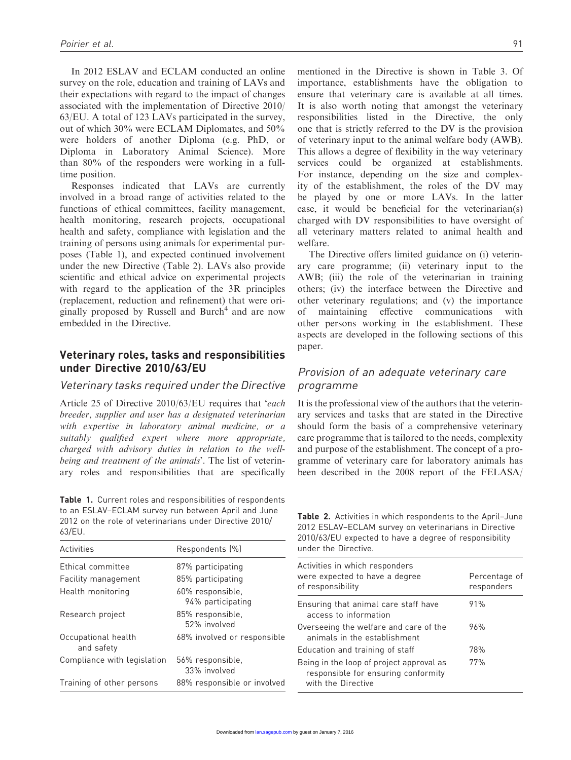In 2012 ESLAV and ECLAM conducted an online survey on the role, education and training of LAVs and their expectations with regard to the impact of changes associated with the implementation of Directive 2010/ 63/EU. A total of 123 LAVs participated in the survey, out of which 30% were ECLAM Diplomates, and 50% were holders of another Diploma (e.g. PhD, or Diploma in Laboratory Animal Science). More than 80% of the responders were working in a fulltime position.

Responses indicated that LAVs are currently involved in a broad range of activities related to the functions of ethical committees, facility management, health monitoring, research projects, occupational health and safety, compliance with legislation and the training of persons using animals for experimental purposes (Table 1), and expected continued involvement under the new Directive (Table 2). LAVs also provide scientific and ethical advice on experimental projects with regard to the application of the 3R principles (replacement, reduction and refinement) that were originally proposed by Russell and Burch<sup>4</sup> and are now embedded in the Directive.

# Veterinary roles, tasks and responsibilities under Directive 2010/63/EU

#### Veterinary tasks required under the Directive

Article 25 of Directive 2010/63/EU requires that 'each breeder, supplier and user has a designated veterinarian with expertise in laboratory animal medicine, or a suitably qualified expert where more appropriate, charged with advisory duties in relation to the wellbeing and treatment of the animals'. The list of veterinary roles and responsibilities that are specifically

Table 1. Current roles and responsibilities of respondents to an ESLAV–ECLAM survey run between April and June 2012 on the role of veterinarians under Directive 2010/ 63/EU.

| <b>Activities</b>                 | Respondents (%)                       |
|-----------------------------------|---------------------------------------|
| Ethical committee                 | 87% participating                     |
| Facility management               | 85% participating                     |
| Health monitoring                 | 60% responsible.<br>94% participating |
| Research project                  | 85% responsible.<br>52% involved      |
| Occupational health<br>and safety | 68% involved or responsible           |
| Compliance with legislation       | 56% responsible.<br>33% involved      |
| Training of other persons         | 88% responsible or involved           |

mentioned in the Directive is shown in Table 3. Of importance, establishments have the obligation to ensure that veterinary care is available at all times. It is also worth noting that amongst the veterinary responsibilities listed in the Directive, the only one that is strictly referred to the DV is the provision of veterinary input to the animal welfare body (AWB). This allows a degree of flexibility in the way veterinary services could be organized at establishments. For instance, depending on the size and complexity of the establishment, the roles of the DV may be played by one or more LAVs. In the latter case, it would be beneficial for the veterinarian(s) charged with DV responsibilities to have oversight of all veterinary matters related to animal health and welfare.

The Directive offers limited guidance on (i) veterinary care programme; (ii) veterinary input to the AWB; (iii) the role of the veterinarian in training others; (iv) the interface between the Directive and other veterinary regulations; and (v) the importance of maintaining effective communications with other persons working in the establishment. These aspects are developed in the following sections of this paper.

## Provision of an adequate veterinary care programme

It is the professional view of the authors that the veterinary services and tasks that are stated in the Directive should form the basis of a comprehensive veterinary care programme that is tailored to the needs, complexity and purpose of the establishment. The concept of a programme of veterinary care for laboratory animals has been described in the 2008 report of the FELASA/

Table 2. Activities in which respondents to the April–June 2012 ESLAV–ECLAM survey on veterinarians in Directive 2010/63/EU expected to have a degree of responsibility under the Directive.

| Activities in which responders<br>were expected to have a degree<br>of responsibility                 | Percentage of<br>responders |
|-------------------------------------------------------------------------------------------------------|-----------------------------|
| Ensuring that animal care staff have<br>access to information                                         | 91%                         |
| Overseeing the welfare and care of the<br>animals in the establishment                                | 96%                         |
| Education and training of staff                                                                       | 78%                         |
| Being in the loop of project approval as<br>responsible for ensuring conformity<br>with the Directive | 77%                         |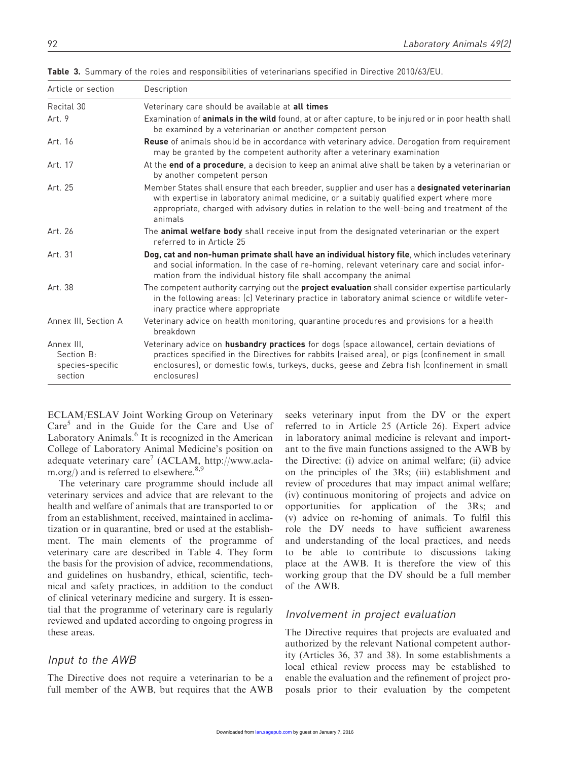| Article or section                                      | Description                                                                                                                                                                                                                                                                                              |  |  |
|---------------------------------------------------------|----------------------------------------------------------------------------------------------------------------------------------------------------------------------------------------------------------------------------------------------------------------------------------------------------------|--|--|
| Recital 30                                              | Veterinary care should be available at <b>all times</b>                                                                                                                                                                                                                                                  |  |  |
| Art. 9                                                  | Examination of animals in the wild found, at or after capture, to be injured or in poor health shall<br>be examined by a veterinarian or another competent person                                                                                                                                        |  |  |
| Art. 16                                                 | Reuse of animals should be in accordance with veterinary advice. Derogation from requirement<br>may be granted by the competent authority after a veterinary examination                                                                                                                                 |  |  |
| Art. 17                                                 | At the <b>end of a procedure</b> , a decision to keep an animal alive shall be taken by a veterinarian or<br>by another competent person                                                                                                                                                                 |  |  |
| Art. 25                                                 | Member States shall ensure that each breeder, supplier and user has a designated veterinarian<br>with expertise in laboratory animal medicine, or a suitably qualified expert where more<br>appropriate, charged with advisory duties in relation to the well-being and treatment of the<br>animals      |  |  |
| Art. 26                                                 | The animal welfare body shall receive input from the designated veterinarian or the expert<br>referred to in Article 25                                                                                                                                                                                  |  |  |
| Art. 31                                                 | Dog, cat and non-human primate shall have an individual history file, which includes veterinary<br>and social information. In the case of re-homing, relevant veterinary care and social infor-<br>mation from the individual history file shall accompany the animal                                    |  |  |
| Art. 38                                                 | The competent authority carrying out the <b>project evaluation</b> shall consider expertise particularly<br>in the following areas: (c) Veterinary practice in laboratory animal science or wildlife veter-<br>inary practice where appropriate                                                          |  |  |
| Annex III, Section A                                    | Veterinary advice on health monitoring, quarantine procedures and provisions for a health<br>breakdown                                                                                                                                                                                                   |  |  |
| Annex III.<br>Section B:<br>species-specific<br>section | Veterinary advice on husbandry practices for dogs (space allowance), certain deviations of<br>practices specified in the Directives for rabbits (raised area), or pigs (confinement in small<br>enclosures), or domestic fowls, turkeys, ducks, geese and Zebra fish (confinement in small<br>enclosures |  |  |

Table 3. Summary of the roles and responsibilities of veterinarians specified in Directive 2010/63/EU.

ECLAM/ESLAV Joint Working Group on Veterinary Care<sup>5</sup> and in the Guide for the Care and Use of Laboratory Animals.<sup>6</sup> It is recognized in the American College of Laboratory Animal Medicine's position on adequate veterinary care<sup>7</sup> (ACLAM, [http://www.acla](http://www.aclam.org/)[m.org/](http://www.aclam.org/)) and is referred to elsewhere.<sup>8,9</sup>

The veterinary care programme should include all veterinary services and advice that are relevant to the health and welfare of animals that are transported to or from an establishment, received, maintained in acclimatization or in quarantine, bred or used at the establishment. The main elements of the programme of veterinary care are described in Table 4. They form the basis for the provision of advice, recommendations, and guidelines on husbandry, ethical, scientific, technical and safety practices, in addition to the conduct of clinical veterinary medicine and surgery. It is essential that the programme of veterinary care is regularly reviewed and updated according to ongoing progress in these areas.

# Input to the AWB

The Directive does not require a veterinarian to be a full member of the AWB, but requires that the AWB

seeks veterinary input from the DV or the expert referred to in Article 25 (Article 26). Expert advice in laboratory animal medicine is relevant and important to the five main functions assigned to the AWB by the Directive: (i) advice on animal welfare; (ii) advice on the principles of the 3Rs; (iii) establishment and review of procedures that may impact animal welfare; (iv) continuous monitoring of projects and advice on opportunities for application of the 3Rs; and (v) advice on re-homing of animals. To fulfil this role the DV needs to have sufficient awareness and understanding of the local practices, and needs to be able to contribute to discussions taking place at the AWB. It is therefore the view of this working group that the DV should be a full member of the AWB.

# Involvement in project evaluation

The Directive requires that projects are evaluated and authorized by the relevant National competent authority (Articles 36, 37 and 38). In some establishments a local ethical review process may be established to enable the evaluation and the refinement of project proposals prior to their evaluation by the competent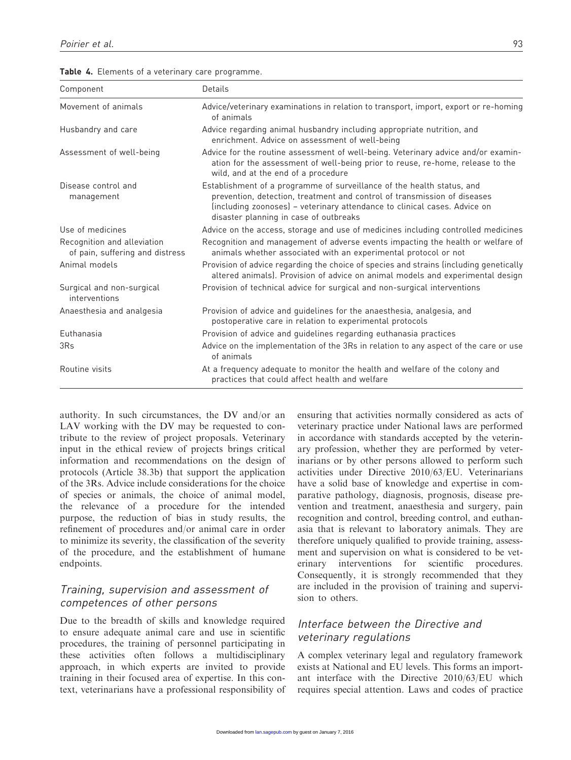| Component                                                      | Details                                                                                                                                                                                                                                                                   |  |
|----------------------------------------------------------------|---------------------------------------------------------------------------------------------------------------------------------------------------------------------------------------------------------------------------------------------------------------------------|--|
| Movement of animals                                            | Advice/veterinary examinations in relation to transport, import, export or re-homing<br>of animals                                                                                                                                                                        |  |
| Husbandry and care                                             | Advice regarding animal husbandry including appropriate nutrition, and<br>enrichment. Advice on assessment of well-being                                                                                                                                                  |  |
| Assessment of well-being                                       | Advice for the routine assessment of well-being. Veterinary advice and/or examin-<br>ation for the assessment of well-being prior to reuse, re-home, release to the<br>wild, and at the end of a procedure                                                                |  |
| Disease control and<br>management                              | Establishment of a programme of surveillance of the health status, and<br>prevention, detection, treatment and control of transmission of diseases<br>(including zoonoses) - veterinary attendance to clinical cases. Advice on<br>disaster planning in case of outbreaks |  |
| Use of medicines                                               | Advice on the access, storage and use of medicines including controlled medicines                                                                                                                                                                                         |  |
| Recognition and alleviation<br>of pain, suffering and distress | Recognition and management of adverse events impacting the health or welfare of<br>animals whether associated with an experimental protocol or not                                                                                                                        |  |
| Animal models                                                  | Provision of advice regarding the choice of species and strains (including genetically<br>altered animals). Provision of advice on animal models and experimental design                                                                                                  |  |
| Surgical and non-surgical<br>interventions                     | Provision of technical advice for surgical and non-surgical interventions                                                                                                                                                                                                 |  |
| Anaesthesia and analgesia                                      | Provision of advice and guidelines for the anaesthesia, analgesia, and<br>postoperative care in relation to experimental protocols                                                                                                                                        |  |
| Euthanasia                                                     | Provision of advice and guidelines regarding euthanasia practices                                                                                                                                                                                                         |  |
| 3Rs                                                            | Advice on the implementation of the 3Rs in relation to any aspect of the care or use<br>of animals                                                                                                                                                                        |  |
| Routine visits                                                 | At a frequency adequate to monitor the health and welfare of the colony and<br>practices that could affect health and welfare                                                                                                                                             |  |

Table 4. Elements of a veterinary care programme.

authority. In such circumstances, the DV and/or an LAV working with the DV may be requested to contribute to the review of project proposals. Veterinary input in the ethical review of projects brings critical information and recommendations on the design of protocols (Article 38.3b) that support the application of the 3Rs. Advice include considerations for the choice of species or animals, the choice of animal model, the relevance of a procedure for the intended purpose, the reduction of bias in study results, the refinement of procedures and/or animal care in order to minimize its severity, the classification of the severity of the procedure, and the establishment of humane endpoints.

# Training, supervision and assessment of competences of other persons

Due to the breadth of skills and knowledge required to ensure adequate animal care and use in scientific procedures, the training of personnel participating in these activities often follows a multidisciplinary approach, in which experts are invited to provide training in their focused area of expertise. In this context, veterinarians have a professional responsibility of

ensuring that activities normally considered as acts of veterinary practice under National laws are performed in accordance with standards accepted by the veterinary profession, whether they are performed by veterinarians or by other persons allowed to perform such activities under Directive 2010/63/EU. Veterinarians have a solid base of knowledge and expertise in comparative pathology, diagnosis, prognosis, disease prevention and treatment, anaesthesia and surgery, pain recognition and control, breeding control, and euthanasia that is relevant to laboratory animals. They are therefore uniquely qualified to provide training, assessment and supervision on what is considered to be veterinary interventions for scientific procedures. Consequently, it is strongly recommended that they are included in the provision of training and supervision to others.

# Interface between the Directive and veterinary regulations

A complex veterinary legal and regulatory framework exists at National and EU levels. This forms an important interface with the Directive 2010/63/EU which requires special attention. Laws and codes of practice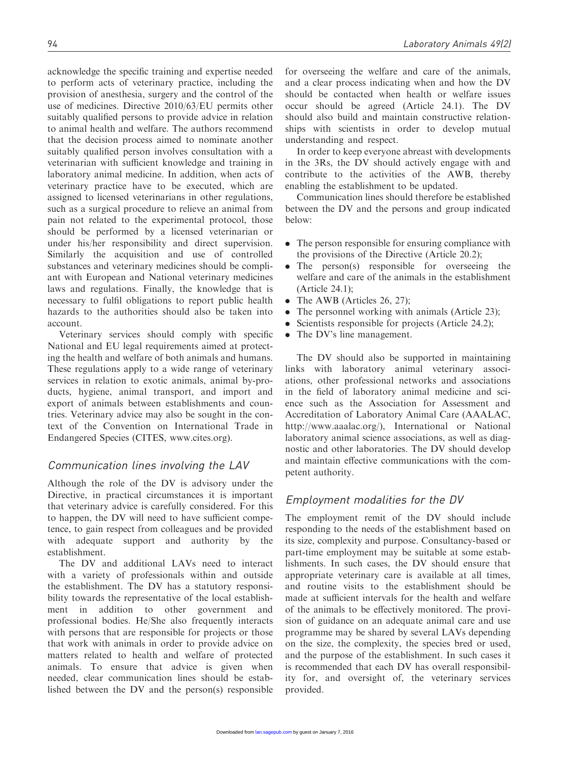acknowledge the specific training and expertise needed to perform acts of veterinary practice, including the provision of anesthesia, surgery and the control of the use of medicines. Directive 2010/63/EU permits other suitably qualified persons to provide advice in relation to animal health and welfare. The authors recommend that the decision process aimed to nominate another suitably qualified person involves consultation with a veterinarian with sufficient knowledge and training in laboratory animal medicine. In addition, when acts of veterinary practice have to be executed, which are assigned to licensed veterinarians in other regulations, such as a surgical procedure to relieve an animal from pain not related to the experimental protocol, those should be performed by a licensed veterinarian or under his/her responsibility and direct supervision. Similarly the acquisition and use of controlled substances and veterinary medicines should be compliant with European and National veterinary medicines laws and regulations. Finally, the knowledge that is necessary to fulfil obligations to report public health hazards to the authorities should also be taken into account.

Veterinary services should comply with specific National and EU legal requirements aimed at protecting the health and welfare of both animals and humans. These regulations apply to a wide range of veterinary services in relation to exotic animals, animal by-products, hygiene, animal transport, and import and export of animals between establishments and countries. Veterinary advice may also be sought in the context of the Convention on International Trade in Endangered Species (CITES, [www.cites.org\)](www.cites.org).

## Communication lines involving the LAV

Although the role of the DV is advisory under the Directive, in practical circumstances it is important that veterinary advice is carefully considered. For this to happen, the DV will need to have sufficient competence, to gain respect from colleagues and be provided with adequate support and authority by the establishment.

The DV and additional LAVs need to interact with a variety of professionals within and outside the establishment. The DV has a statutory responsibility towards the representative of the local establishment in addition to other government and professional bodies. He/She also frequently interacts with persons that are responsible for projects or those that work with animals in order to provide advice on matters related to health and welfare of protected animals. To ensure that advice is given when needed, clear communication lines should be established between the DV and the person(s) responsible for overseeing the welfare and care of the animals, and a clear process indicating when and how the DV should be contacted when health or welfare issues occur should be agreed (Article 24.1). The DV should also build and maintain constructive relationships with scientists in order to develop mutual understanding and respect.

In order to keep everyone abreast with developments in the 3Rs, the DV should actively engage with and contribute to the activities of the AWB, thereby enabling the establishment to be updated.

Communication lines should therefore be established between the DV and the persons and group indicated below:

- . The person responsible for ensuring compliance with the provisions of the Directive (Article 20.2);
- The person(s) responsible for overseeing the welfare and care of the animals in the establishment (Article 24.1);
- $\bullet$  The AWB (Articles 26, 27);
- The personnel working with animals (Article 23);
- Scientists responsible for projects (Article 24.2);
- . The DV's line management.

The DV should also be supported in maintaining links with laboratory animal veterinary associations, other professional networks and associations in the field of laboratory animal medicine and science such as the Association for Assessment and Accreditation of Laboratory Animal Care (AAALAC, http://www.aaalac.org/), International or National laboratory animal science associations, as well as diagnostic and other laboratories. The DV should develop and maintain effective communications with the competent authority.

# Employment modalities for the DV

The employment remit of the DV should include responding to the needs of the establishment based on its size, complexity and purpose. Consultancy-based or part-time employment may be suitable at some establishments. In such cases, the DV should ensure that appropriate veterinary care is available at all times, and routine visits to the establishment should be made at sufficient intervals for the health and welfare of the animals to be effectively monitored. The provision of guidance on an adequate animal care and use programme may be shared by several LAVs depending on the size, the complexity, the species bred or used, and the purpose of the establishment. In such cases it is recommended that each DV has overall responsibility for, and oversight of, the veterinary services provided.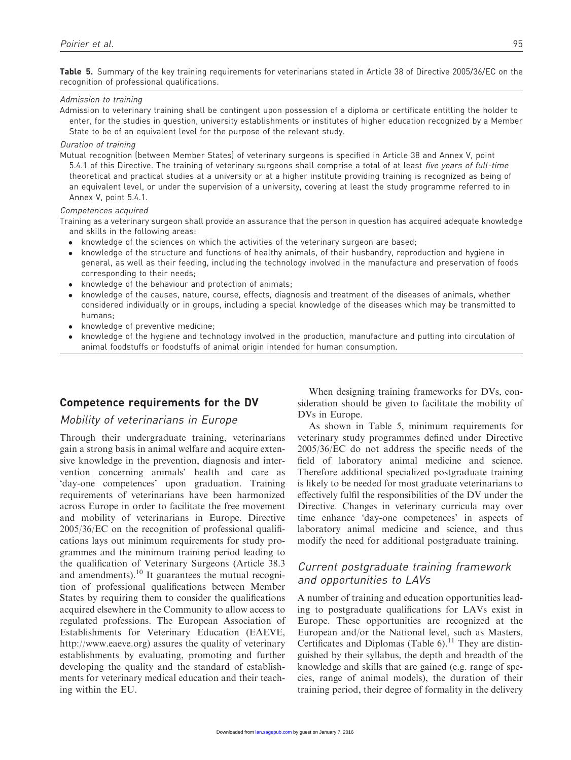Table 5. Summary of the key training requirements for veterinarians stated in Article 38 of Directive 2005/36/EC on the recognition of professional qualifications.

#### Admission to training

Admission to veterinary training shall be contingent upon possession of a diploma or certificate entitling the holder to enter, for the studies in question, university establishments or institutes of higher education recognized by a Member State to be of an equivalent level for the purpose of the relevant study.

#### Duration of training

Mutual recognition (between Member States) of veterinary surgeons is specified in Article 38 and Annex V, point 5.4.1 of this Directive. The training of veterinary surgeons shall comprise a total of at least five years of full-time theoretical and practical studies at a university or at a higher institute providing training is recognized as being of an equivalent level, or under the supervision of a university, covering at least the study programme referred to in Annex V, point 5.4.1.

#### Competences acquired

Training as a veterinary surgeon shall provide an assurance that the person in question has acquired adequate knowledge and skills in the following areas:

- $\bullet$ knowledge of the sciences on which the activities of the veterinary surgeon are based;
- $\bullet$  knowledge of the structure and functions of healthy animals, of their husbandry, reproduction and hygiene in general, as well as their feeding, including the technology involved in the manufacture and preservation of foods corresponding to their needs;
- $\bullet$ knowledge of the behaviour and protection of animals;
- $\bullet$  knowledge of the causes, nature, course, effects, diagnosis and treatment of the diseases of animals, whether considered individually or in groups, including a special knowledge of the diseases which may be transmitted to humans;
- knowledge of preventive medicine;
- $\bullet$  knowledge of the hygiene and technology involved in the production, manufacture and putting into circulation of animal foodstuffs or foodstuffs of animal origin intended for human consumption.

## Competence requirements for the DV

## Mobility of veterinarians in Europe

Through their undergraduate training, veterinarians gain a strong basis in animal welfare and acquire extensive knowledge in the prevention, diagnosis and intervention concerning animals' health and care as 'day-one competences' upon graduation. Training requirements of veterinarians have been harmonized across Europe in order to facilitate the free movement and mobility of veterinarians in Europe. Directive 2005/36/EC on the recognition of professional qualifications lays out minimum requirements for study programmes and the minimum training period leading to the qualification of Veterinary Surgeons (Article 38.3 and amendments). $^{10}$  It guarantees the mutual recognition of professional qualifications between Member States by requiring them to consider the qualifications acquired elsewhere in the Community to allow access to regulated professions. The European Association of Establishments for Veterinary Education (EAEVE, [http://www.eaeve.org\)](http://www.eaeve.org) assures the quality of veterinary establishments by evaluating, promoting and further developing the quality and the standard of establishments for veterinary medical education and their teaching within the EU.

When designing training frameworks for DVs, consideration should be given to facilitate the mobility of DVs in Europe.

As shown in Table 5, minimum requirements for veterinary study programmes defined under Directive 2005/36/EC do not address the specific needs of the field of laboratory animal medicine and science. Therefore additional specialized postgraduate training is likely to be needed for most graduate veterinarians to effectively fulfil the responsibilities of the DV under the Directive. Changes in veterinary curricula may over time enhance 'day-one competences' in aspects of laboratory animal medicine and science, and thus modify the need for additional postgraduate training.

# Current postgraduate training framework and opportunities to LAVs

A number of training and education opportunities leading to postgraduate qualifications for LAVs exist in Europe. These opportunities are recognized at the European and/or the National level, such as Masters, Certificates and Diplomas (Table  $6$ ).<sup>11</sup> They are distinguished by their syllabus, the depth and breadth of the knowledge and skills that are gained (e.g. range of species, range of animal models), the duration of their training period, their degree of formality in the delivery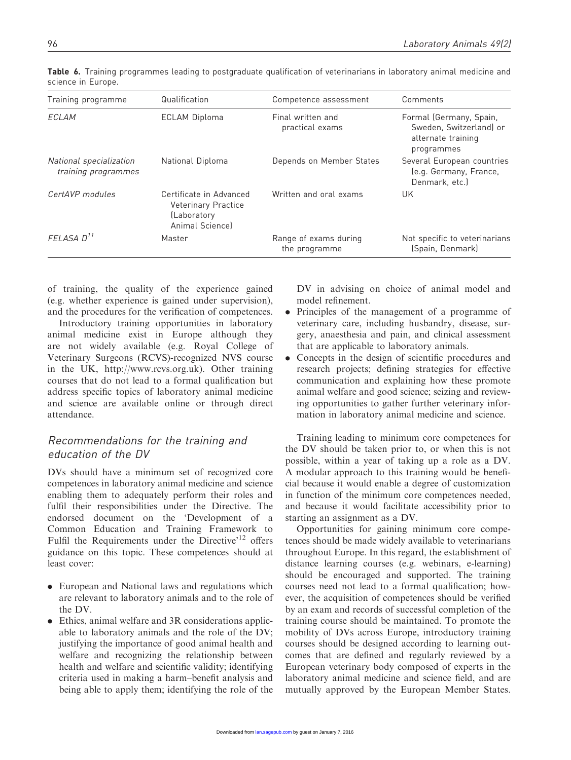| Training programme                             | Qualification                                                                           | Competence assessment                  | Comments                                                                               |
|------------------------------------------------|-----------------------------------------------------------------------------------------|----------------------------------------|----------------------------------------------------------------------------------------|
| ECLAM                                          | <b>ECLAM Diploma</b>                                                                    | Final written and<br>practical exams   | Formal (Germany, Spain,<br>Sweden, Switzerland) or<br>alternate training<br>programmes |
| National specialization<br>training programmes | National Diploma                                                                        | Depends on Member States               | Several European countries<br>(e.g. Germany, France,<br>Denmark, etc.)                 |
| CertAVP modules                                | Certificate in Advanced<br><b>Veterinary Practice</b><br>(Laboratory<br>Animal Sciencel | Written and oral exams                 | UK.                                                                                    |
| FELASA D <sup>11</sup>                         | Master                                                                                  | Range of exams during<br>the programme | Not specific to veterinarians<br>(Spain, Denmark)                                      |

Table 6. Training programmes leading to postgraduate qualification of veterinarians in laboratory animal medicine and science in Europe.

of training, the quality of the experience gained (e.g. whether experience is gained under supervision), and the procedures for the verification of competences.

Introductory training opportunities in laboratory animal medicine exist in Europe although they are not widely available (e.g. Royal College of Veterinary Surgeons (RCVS)-recognized NVS course in the UK, [http://www.rcvs.org.uk\)](http://www.rcvs.org.uk). Other training courses that do not lead to a formal qualification but address specific topics of laboratory animal medicine and science are available online or through direct attendance.

# Recommendations for the training and education of the DV

DVs should have a minimum set of recognized core competences in laboratory animal medicine and science enabling them to adequately perform their roles and fulfil their responsibilities under the Directive. The endorsed document on the 'Development of a Common Education and Training Framework to Fulfil the Requirements under the Directive<sup>'12</sup> offers guidance on this topic. These competences should at least cover:

- . European and National laws and regulations which are relevant to laboratory animals and to the role of the DV.
- . Ethics, animal welfare and 3R considerations applicable to laboratory animals and the role of the DV; justifying the importance of good animal health and welfare and recognizing the relationship between health and welfare and scientific validity; identifying criteria used in making a harm–benefit analysis and being able to apply them; identifying the role of the

DV in advising on choice of animal model and model refinement.

- . Principles of the management of a programme of veterinary care, including husbandry, disease, surgery, anaesthesia and pain, and clinical assessment that are applicable to laboratory animals.
- . Concepts in the design of scientific procedures and research projects; defining strategies for effective communication and explaining how these promote animal welfare and good science; seizing and reviewing opportunities to gather further veterinary information in laboratory animal medicine and science.

Training leading to minimum core competences for the DV should be taken prior to, or when this is not possible, within a year of taking up a role as a DV. A modular approach to this training would be beneficial because it would enable a degree of customization in function of the minimum core competences needed, and because it would facilitate accessibility prior to starting an assignment as a DV.

Opportunities for gaining minimum core competences should be made widely available to veterinarians throughout Europe. In this regard, the establishment of distance learning courses (e.g. webinars, e-learning) should be encouraged and supported. The training courses need not lead to a formal qualification; however, the acquisition of competences should be verified by an exam and records of successful completion of the training course should be maintained. To promote the mobility of DVs across Europe, introductory training courses should be designed according to learning outcomes that are defined and regularly reviewed by a European veterinary body composed of experts in the laboratory animal medicine and science field, and are mutually approved by the European Member States.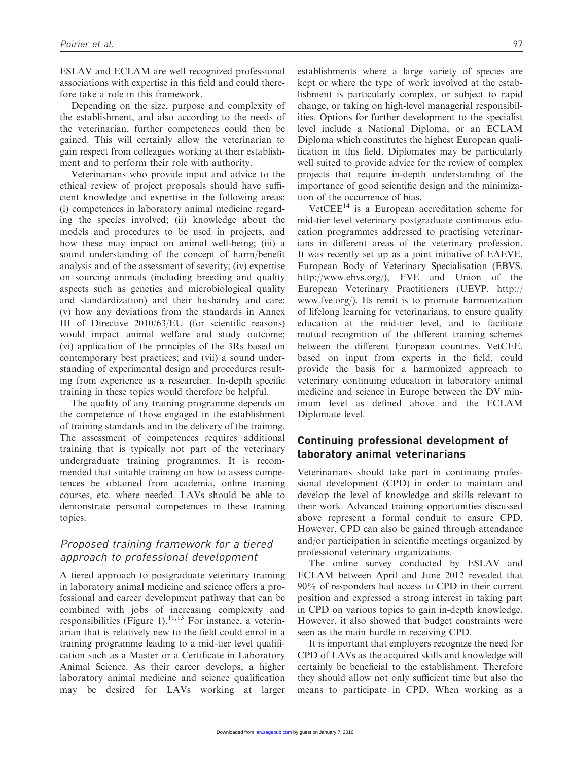ESLAV and ECLAM are well recognized professional associations with expertise in this field and could therefore take a role in this framework.

Depending on the size, purpose and complexity of the establishment, and also according to the needs of the veterinarian, further competences could then be gained. This will certainly allow the veterinarian to gain respect from colleagues working at their establishment and to perform their role with authority.

Veterinarians who provide input and advice to the ethical review of project proposals should have sufficient knowledge and expertise in the following areas: (i) competences in laboratory animal medicine regarding the species involved; (ii) knowledge about the models and procedures to be used in projects, and how these may impact on animal well-being; (iii) a sound understanding of the concept of harm/benefit analysis and of the assessment of severity; (iv) expertise on sourcing animals (including breeding and quality aspects such as genetics and microbiological quality and standardization) and their husbandry and care; (v) how any deviations from the standards in Annex III of Directive 2010/63/EU (for scientific reasons) would impact animal welfare and study outcome; (vi) application of the principles of the 3Rs based on contemporary best practices; and (vii) a sound understanding of experimental design and procedures resulting from experience as a researcher. In-depth specific training in these topics would therefore be helpful.

The quality of any training programme depends on the competence of those engaged in the establishment of training standards and in the delivery of the training. The assessment of competences requires additional training that is typically not part of the veterinary undergraduate training programmes. It is recommended that suitable training on how to assess competences be obtained from academia, online training courses, etc. where needed. LAVs should be able to demonstrate personal competences in these training topics.

# Proposed training framework for a tiered approach to professional development

A tiered approach to postgraduate veterinary training in laboratory animal medicine and science offers a professional and career development pathway that can be combined with jobs of increasing complexity and responsibilities (Figure 1).<sup>11,13</sup> For instance, a veterinarian that is relatively new to the field could enrol in a training programme leading to a mid-tier level qualification such as a Master or a Certificate in Laboratory Animal Science. As their career develops, a higher laboratory animal medicine and science qualification may be desired for LAVs working at larger establishments where a large variety of species are kept or where the type of work involved at the establishment is particularly complex, or subject to rapid change, or taking on high-level managerial responsibilities. Options for further development to the specialist level include a National Diploma, or an ECLAM Diploma which constitutes the highest European qualification in this field. Diplomates may be particularly well suited to provide advice for the review of complex projects that require in-depth understanding of the importance of good scientific design and the minimization of the occurrence of bias.

Vet $CEE^{14}$  is a European accreditation scheme for mid-tier level veterinary postgraduate continuous education programmes addressed to practising veterinarians in different areas of the veterinary profession. It was recently set up as a joint initiative of EAEVE, European Body of Veterinary Specialisation (EBVS, [http://www.ebvs.org/\)](http://www.ebvs.org/), FVE and Union of the European Veterinary Practitioners (UEVP, [http://](http://www.fve.org/) [www.fve.org/\)](http://www.fve.org/). Its remit is to promote harmonization of lifelong learning for veterinarians, to ensure quality education at the mid-tier level, and to facilitate mutual recognition of the different training schemes between the different European countries. VetCEE, based on input from experts in the field, could provide the basis for a harmonized approach to veterinary continuing education in laboratory animal medicine and science in Europe between the DV minimum level as defined above and the ECLAM Diplomate level.

# Continuing professional development of laboratory animal veterinarians

Veterinarians should take part in continuing professional development (CPD) in order to maintain and develop the level of knowledge and skills relevant to their work. Advanced training opportunities discussed above represent a formal conduit to ensure CPD. However, CPD can also be gained through attendance and/or participation in scientific meetings organized by professional veterinary organizations.

The online survey conducted by ESLAV and ECLAM between April and June 2012 revealed that 90% of responders had access to CPD in their current position and expressed a strong interest in taking part in CPD on various topics to gain in-depth knowledge. However, it also showed that budget constraints were seen as the main hurdle in receiving CPD.

It is important that employers recognize the need for CPD of LAVs as the acquired skills and knowledge will certainly be beneficial to the establishment. Therefore they should allow not only sufficient time but also the means to participate in CPD. When working as a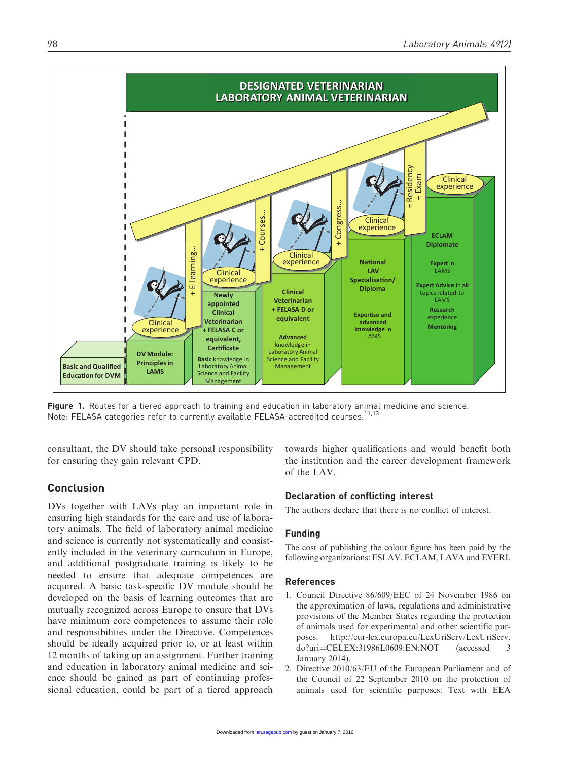

Figure 1. Routes for a tiered approach to training and education in laboratory animal medicine and science. Note: FELASA categories refer to currently available FELASA-accredited courses.<sup>11,13</sup>

consultant, the DV should take personal responsibility for ensuring they gain relevant CPD.

# Conclusion

DVs together with LAVs play an important role in ensuring high standards for the care and use of laboratory animals. The field of laboratory animal medicine and science is currently not systematically and consistently included in the veterinary curriculum in Europe, and additional postgraduate training is likely to be needed to ensure that adequate competences are acquired. A basic task-specific DV module should be developed on the basis of learning outcomes that are mutually recognized across Europe to ensure that DVs have minimum core competences to assume their role and responsibilities under the Directive. Competences should be ideally acquired prior to, or at least within 12 months of taking up an assignment. Further training and education in laboratory animal medicine and science should be gained as part of continuing professional education, could be part of a tiered approach towards higher qualifications and would benefit both the institution and the career development framework of the LAV.

## Declaration of conflicting interest

The authors declare that there is no conflict of interest.

## Funding

The cost of publishing the colour figure has been paid by the following organizations: ESLAV, ECLAM, LAVA and EVERI.

#### References

- 1. Council Directive 86/609/EEC of 24 November 1986 on the approximation of laws, regulations and administrative provisions of the Member States regarding the protection of animals used for experimental and other scientific purposes. [http://eur-lex.europa.eu/LexUriServ/LexUriServ.](http://eur-lex.europa.eu/LexUriServ/LexUriServ.do?uri=CELEX:31986L0609:EN:NOT) [do?uri](http://eur-lex.europa.eu/LexUriServ/LexUriServ.do?uri=CELEX:31986L0609:EN:NOT)=[CELEX:31986L0609:EN:NOT](http://eur-lex.europa.eu/LexUriServ/LexUriServ.do?uri=CELEX:31986L0609:EN:NOT) (accessed 3 January 2014).
- 2. Directive 2010/63/EU of the European Parliament and of the Council of 22 September 2010 on the protection of animals used for scientific purposes: Text with EEA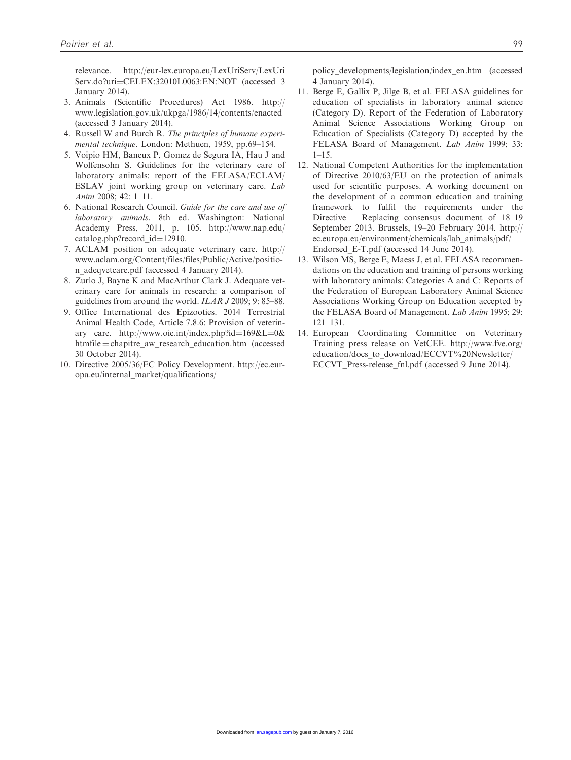relevance. [http://eur-lex.europa.eu/LexUriServ/LexUri](http://eur-lex.europa.eu/LexUriServ/LexUriServ.do?uri=CELEX:32010L0063:EN:NOT) [Serv.do?uri](http://eur-lex.europa.eu/LexUriServ/LexUriServ.do?uri=CELEX:32010L0063:EN:NOT)=[CELEX:32010L0063:EN:NOT](http://eur-lex.europa.eu/LexUriServ/LexUriServ.do?uri=CELEX:32010L0063:EN:NOT) (accessed 3 January 2014).

- 3. Animals (Scientific Procedures) Act 1986. [http://](http://www.legislation.gov.uk/ukpga/1986/14/contents/enacted) [www.legislation.gov.uk/ukpga/1986/14/contents/enacted](http://www.legislation.gov.uk/ukpga/1986/14/contents/enacted) (accessed 3 January 2014).
- 4. Russell W and Burch R. The principles of humane experimental technique. London: Methuen, 1959, pp.69–154.
- 5. Voipio HM, Baneux P, Gomez de Segura IA, Hau J and Wolfensohn S. Guidelines for the veterinary care of laboratory animals: report of the FELASA/ECLAM/ ESLAV joint working group on veterinary care. Lab Anim 2008; 42: 1–11.
- 6. National Research Council. Guide for the care and use of laboratory animals. 8th ed. Washington: National Academy Press, 2011, p. 105. [http://www.nap.edu/](http://www.nap.edu/catalog.php?record_id=12910) catalog.php?record $id=12910$ .
- 7. ACLAM position on adequate veterinary care. [http://](http://www.aclam.org/Content/files/files/Public/Active/position_adeqvetcare.pdf) [www.aclam.org/Content/files/files/Public/Active/positio](http://www.aclam.org/Content/files/files/Public/Active/position_adeqvetcare.pdf)n adeqvetcare.pdf (accessed 4 January 2014).
- 8. Zurlo J, Bayne K and MacArthur Clark J. Adequate veterinary care for animals in research: a comparison of guidelines from around the world. ILAR J 2009; 9: 85–88.
- 9. Office International des Epizooties. 2014 Terrestrial Animal Health Code, Article 7.8.6: Provision of veterinary care. [http://www.oie.int/index.php?id](http://www.oie.int/index.php?id=169&L=0&htmfile=chapitre_aw_research_education.htm)=[169&L](http://www.oie.int/index.php?id=169&L=0&htmfile=chapitre_aw_research_education.htm)=[0&](http://www.oie.int/index.php?id=169&L=0&htmfile=chapitre_aw_research_education.htm) [htmfile](http://www.oie.int/index.php?id=169&L=0&htmfile=chapitre_aw_research_education.htm) = [chapitre\\_aw\\_research\\_education.htm](http://www.oie.int/index.php?id=169&L=0&htmfile=chapitre_aw_research_education.htm) (accessed 30 October 2014).
- 10. Directive 2005/36/EC Policy Development. [http://ec.eur](http://ec.europa.eu/internal_market/qualifications/policy_developments/legislation/index_en.htm)[opa.eu/internal\\_market/qualifications/](http://ec.europa.eu/internal_market/qualifications/policy_developments/legislation/index_en.htm)

[policy\\_developments/legislation/index\\_en.htm](http://ec.europa.eu/internal_market/qualifications/policy_developments/legislation/index_en.htm) (accessed 4 January 2014).

- 11. Berge E, Gallix P, Jilge B, et al. FELASA guidelines for education of specialists in laboratory animal science (Category D). Report of the Federation of Laboratory Animal Science Associations Working Group on Education of Specialists (Category D) accepted by the FELASA Board of Management. Lab Anim 1999; 33:  $1 - 15$ .
- 12. National Competent Authorities for the implementation of Directive 2010/63/EU on the protection of animals used for scientific purposes. A working document on the development of a common education and training framework to fulfil the requirements under the Directive – Replacing consensus document of 18–19 September 2013. Brussels, 19–20 February 2014. [http://](http://ec.europa.eu/environment/chemicals/lab_animals/pdf/Endorsed_E-T.pdf) [ec.europa.eu/environment/chemicals/lab\\_animals/pdf/](http://ec.europa.eu/environment/chemicals/lab_animals/pdf/Endorsed_E-T.pdf) [Endorsed\\_E-T.pdf](http://ec.europa.eu/environment/chemicals/lab_animals/pdf/Endorsed_E-T.pdf) (accessed 14 June 2014).
- 13. Wilson MS, Berge E, Maess J, et al. FELASA recommendations on the education and training of persons working with laboratory animals: Categories A and C: Reports of the Federation of European Laboratory Animal Science Associations Working Group on Education accepted by the FELASA Board of Management. Lab Anim 1995; 29: 121–131.
- 14. European Coordinating Committee on Veterinary Training press release on VetCEE. [http://www.fve.org/](http://www.fve.org/education/docs_to_download/ECCVT%20Newsletter/ECCVT_Press-release_fnl.pdf) [education/docs\\_to\\_download/ECCVT%20Newsletter/](http://www.fve.org/education/docs_to_download/ECCVT%20Newsletter/ECCVT_Press-release_fnl.pdf) ECCVT Press-release fnl.pdf (accessed 9 June 2014).